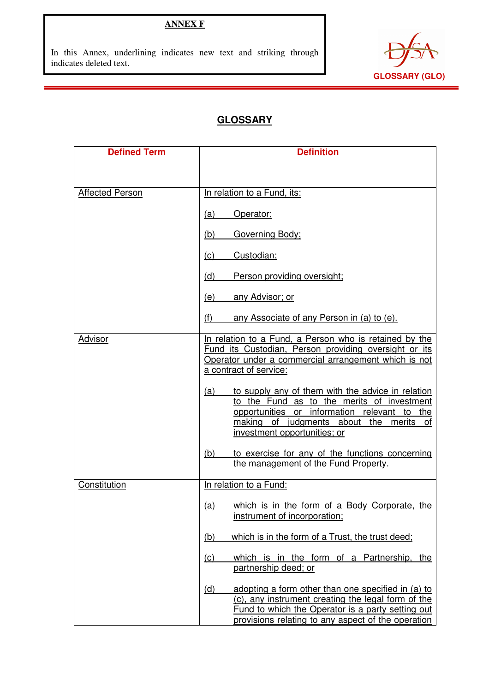# **ANNEX F**

In this Annex, underlining indicates new text and striking through indicates deleted text.

í



## **GLOSSARY**

| <b>Defined Term</b>    | <b>Definition</b>                                                                                                                                                                                                                 |
|------------------------|-----------------------------------------------------------------------------------------------------------------------------------------------------------------------------------------------------------------------------------|
|                        |                                                                                                                                                                                                                                   |
|                        |                                                                                                                                                                                                                                   |
| <b>Affected Person</b> | In relation to a Fund, its:                                                                                                                                                                                                       |
|                        | (a)<br>Operator;                                                                                                                                                                                                                  |
|                        | (b)<br>Governing Body;                                                                                                                                                                                                            |
|                        | (c)<br>Custodian;                                                                                                                                                                                                                 |
|                        | (d)<br>Person providing oversight;                                                                                                                                                                                                |
|                        | (e)<br><u>any Advisor; or</u>                                                                                                                                                                                                     |
|                        | any Associate of any Person in (a) to (e).<br>(f)                                                                                                                                                                                 |
| Advisor                | In relation to a Fund, a Person who is retained by the<br>Fund its Custodian, Person providing oversight or its<br>Operator under a commercial arrangement which is not<br>a contract of service:                                 |
|                        | to supply any of them with the advice in relation<br>(a)<br>to the Fund as to the merits of investment<br>opportunities or information relevant to the<br>making of judgments about the merits of<br>investment opportunities; or |
|                        | to exercise for any of the functions concerning<br><u>(b)</u><br>the management of the Fund Property.                                                                                                                             |
| Constitution           | In relation to a Fund:                                                                                                                                                                                                            |
|                        | which is in the form of a Body Corporate, the<br>(a)<br>instrument of incorporation;                                                                                                                                              |
|                        | which is in the form of a Trust, the trust deed;<br>(b)                                                                                                                                                                           |
|                        | (c)<br>which is in the form of a Partnership, the<br>partnership deed; or                                                                                                                                                         |
|                        | adopting a form other than one specified in (a) to<br>(d)<br>(c), any instrument creating the legal form of the<br>Fund to which the Operator is a party setting out<br>provisions relating to any aspect of the operation        |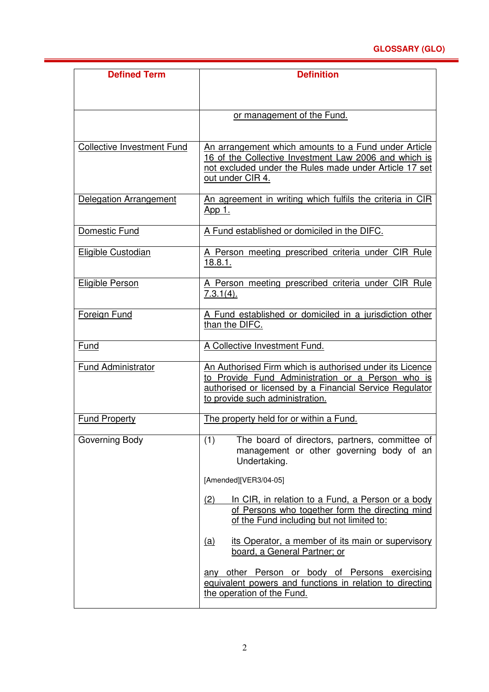### **GLOSSARY (GLO)**

| <b>Defined Term</b>               | <b>Definition</b>                                                                                                                                                                                           |
|-----------------------------------|-------------------------------------------------------------------------------------------------------------------------------------------------------------------------------------------------------------|
|                                   |                                                                                                                                                                                                             |
|                                   | or management of the Fund.                                                                                                                                                                                  |
|                                   |                                                                                                                                                                                                             |
| <b>Collective Investment Fund</b> | An arrangement which amounts to a Fund under Article<br>16 of the Collective Investment Law 2006 and which is<br>not excluded under the Rules made under Article 17 set<br>out under CIR 4.                 |
| Delegation Arrangement            | An agreement in writing which fulfils the criteria in CIR<br>App 1.                                                                                                                                         |
| Domestic Fund                     | A Fund established or domiciled in the DIFC.                                                                                                                                                                |
| Eligible Custodian                | A Person meeting prescribed criteria under CIR Rule<br>18.8.1.                                                                                                                                              |
| <b>Eligible Person</b>            | A Person meeting prescribed criteria under CIR Rule<br>7.3.1(4).                                                                                                                                            |
| Foreign Fund                      | A Fund established or domiciled in a jurisdiction other<br>than the DIFC.                                                                                                                                   |
| Fund                              | A Collective Investment Fund.                                                                                                                                                                               |
| <b>Fund Administrator</b>         | An Authorised Firm which is authorised under its Licence<br>to Provide Fund Administration or a Person who is<br>authorised or licensed by a Financial Service Regulator<br>to provide such administration. |
| <b>Fund Property</b>              | The property held for or within a Fund.                                                                                                                                                                     |
| Governing Body                    | The board of directors, partners, committee of<br>(1)<br>management or other governing body of an<br>Undertaking.                                                                                           |
|                                   | [Amended][VER3/04-05]                                                                                                                                                                                       |
|                                   | (2)<br>In CIR, in relation to a Fund, a Person or a body<br>of Persons who together form the directing mind<br>of the Fund including but not limited to:                                                    |
|                                   | its Operator, a member of its main or supervisory<br>(a)<br>board, a General Partner; or                                                                                                                    |
|                                   | any other Person or body of Persons exercising<br>equivalent powers and functions in relation to directing<br>the operation of the Fund.                                                                    |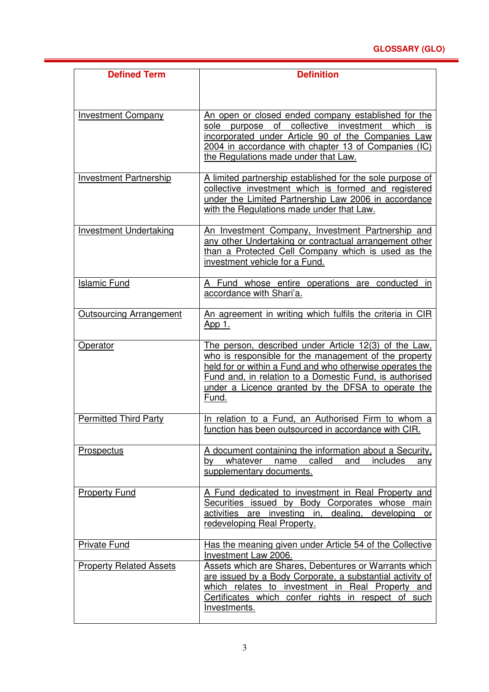| <b>Defined Term</b>            | <b>Definition</b>                                                                                                                                                                                                                                                                                    |
|--------------------------------|------------------------------------------------------------------------------------------------------------------------------------------------------------------------------------------------------------------------------------------------------------------------------------------------------|
|                                |                                                                                                                                                                                                                                                                                                      |
| <b>Investment Company</b>      | An open or closed ended company established for the<br>of collective investment<br>purpose<br>which<br>sole<br>IS<br>incorporated under Article 90 of the Companies Law<br>2004 in accordance with chapter 13 of Companies (IC)<br>the Regulations made under that Law.                              |
| <b>Investment Partnership</b>  | A limited partnership established for the sole purpose of<br>collective investment which is formed and registered<br>under the Limited Partnership Law 2006 in accordance<br>with the Regulations made under that Law.                                                                               |
| <b>Investment Undertaking</b>  | An Investment Company, Investment Partnership and<br>any other Undertaking or contractual arrangement other<br>than a Protected Cell Company which is used as the<br>investment vehicle for a Fund.                                                                                                  |
| <b>Islamic Fund</b>            | A Fund whose entire operations are conducted in<br>accordance with Shari'a.                                                                                                                                                                                                                          |
| <b>Outsourcing Arrangement</b> | An agreement in writing which fulfils the criteria in CIR<br><u>App 1.</u>                                                                                                                                                                                                                           |
| Operator                       | The person, described under Article 12(3) of the Law,<br>who is responsible for the management of the property<br>held for or within a Fund and who otherwise operates the<br>Fund and, in relation to a Domestic Fund, is authorised<br>under a Licence granted by the DFSA to operate the<br>Fund. |
| <b>Permitted Third Party</b>   | In relation to a Fund, an Authorised Firm to whom a<br>function has been outsourced in accordance with CIR.                                                                                                                                                                                          |
| Prospectus                     | A document containing the information about a Security,<br>whatever name<br>called<br>and<br>includes<br>by<br>any<br>supplementary documents.                                                                                                                                                       |
| <b>Property Fund</b>           | A Fund dedicated to investment in Real Property and<br>Securities issued by Body Corporates whose main<br>activities are investing in, dealing,<br>developing<br>or<br>redeveloping Real Property.                                                                                                   |
| <b>Private Fund</b>            | Has the meaning given under Article 54 of the Collective<br>Investment Law 2006.                                                                                                                                                                                                                     |
| <b>Property Related Assets</b> | Assets which are Shares, Debentures or Warrants which<br>are issued by a Body Corporate, a substantial activity of<br>which relates to investment in Real Property and<br>Certificates which confer rights in respect of such<br>Investments.                                                        |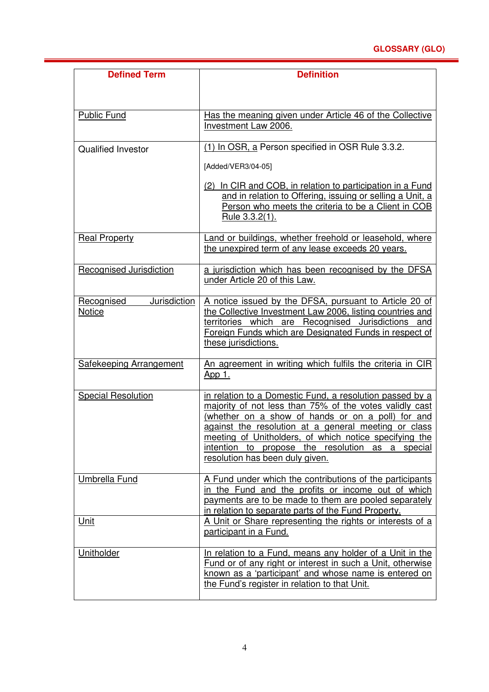### **GLOSSARY (GLO)**

| <b>Defined Term</b>                  | <b>Definition</b>                                                                                                                                                                                                                                                                                                                                                                 |
|--------------------------------------|-----------------------------------------------------------------------------------------------------------------------------------------------------------------------------------------------------------------------------------------------------------------------------------------------------------------------------------------------------------------------------------|
|                                      |                                                                                                                                                                                                                                                                                                                                                                                   |
| <b>Public Fund</b>                   | Has the meaning given under Article 46 of the Collective<br>Investment Law 2006.                                                                                                                                                                                                                                                                                                  |
| <b>Qualified Investor</b>            | (1) In OSR, a Person specified in OSR Rule 3.3.2.                                                                                                                                                                                                                                                                                                                                 |
|                                      | [Added/VER3/04-05]                                                                                                                                                                                                                                                                                                                                                                |
|                                      | (2) In CIR and COB, in relation to participation in a Fund<br>and in relation to Offering, issuing or selling a Unit, a<br>Person who meets the criteria to be a Client in COB<br>Rule 3.3.2(1).                                                                                                                                                                                  |
| <b>Real Property</b>                 | Land or buildings, whether freehold or leasehold, where<br>the unexpired term of any lease exceeds 20 years.                                                                                                                                                                                                                                                                      |
| Recognised Jurisdiction              | a jurisdiction which has been recognised by the DFSA<br>under Article 20 of this Law.                                                                                                                                                                                                                                                                                             |
| Jurisdiction<br>Recognised<br>Notice | A notice issued by the DFSA, pursuant to Article 20 of<br>the Collective Investment Law 2006, listing countries and<br>territories which are Recognised Jurisdictions and<br>Foreign Funds which are Designated Funds in respect of<br>these jurisdictions.                                                                                                                       |
| <b>Safekeeping Arrangement</b>       | An agreement in writing which fulfils the criteria in CIR<br><u>App 1.</u>                                                                                                                                                                                                                                                                                                        |
| <b>Special Resolution</b>            | in relation to a Domestic Fund, a resolution passed by a<br>majority of not less than 75% of the votes validly cast<br>(whether on a show of hands or on a poll) for and<br>against the resolution at a general meeting or class<br>meeting of Unitholders, of which notice specifying the<br>intention to propose the resolution as a special<br>resolution has been duly given. |
| Umbrella Fund                        | A Fund under which the contributions of the participants<br>in the Fund and the profits or income out of which<br>payments are to be made to them are pooled separately<br>in relation to separate parts of the Fund Property.                                                                                                                                                    |
| Unit                                 | A Unit or Share representing the rights or interests of a<br>participant in a Fund.                                                                                                                                                                                                                                                                                               |
| Unitholder                           | In relation to a Fund, means any holder of a Unit in the<br>Fund or of any right or interest in such a Unit, otherwise<br>known as a 'participant' and whose name is entered on<br>the Fund's register in relation to that Unit.                                                                                                                                                  |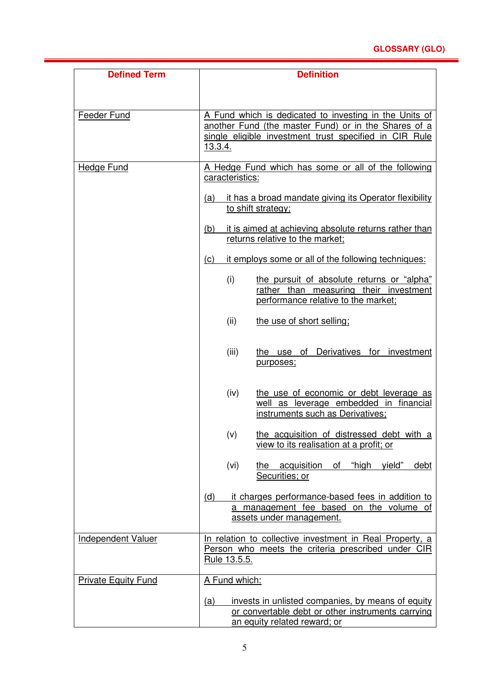| <b>Defined Term</b>        | <b>Definition</b>                                                                                                                                                                   |
|----------------------------|-------------------------------------------------------------------------------------------------------------------------------------------------------------------------------------|
|                            |                                                                                                                                                                                     |
| Feeder Fund                | A Fund which is dedicated to investing in the Units of<br>another Fund (the master Fund) or in the Shares of a<br>single eligible investment trust specified in CIR Rule<br>13.3.4. |
| <b>Hedge Fund</b>          | A Hedge Fund which has some or all of the following<br>caracteristics:                                                                                                              |
|                            | it has a broad mandate giving its Operator flexibility<br>(a)<br>to shift strategy;                                                                                                 |
|                            | it is aimed at achieving absolute returns rather than<br>(b)<br>returns relative to the market;                                                                                     |
|                            | it employs some or all of the following techniques:<br>(c)                                                                                                                          |
|                            | the pursuit of absolute returns or "alpha"<br>(i)<br>rather than measuring their investment<br>performance relative to the market:                                                  |
|                            | (ii)<br>the use of short selling;                                                                                                                                                   |
|                            | the use of Derivatives for investment<br>(iii)<br>purposes;                                                                                                                         |
|                            | (iv)<br>the use of economic or debt leverage as<br>well as leverage embedded in financial<br>instruments such as Derivatives;                                                       |
|                            | (v)<br>the acquisition of distressed debt with a<br>view to its realisation at a profit; or                                                                                         |
|                            | (vi)<br>"high<br>the acquisition<br>of<br>yield"<br>debt<br>Securities; or                                                                                                          |
|                            | it charges performance-based fees in addition to<br>(d)<br>a management fee based on the volume of<br>assets under management.                                                      |
| <b>Independent Valuer</b>  | In relation to collective investment in Real Property, a<br>Person who meets the criteria prescribed under CIR<br>Rule 13.5.5.                                                      |
| <b>Private Equity Fund</b> | A Fund which:                                                                                                                                                                       |
|                            | invests in unlisted companies, by means of equity<br><u>(a)</u><br>or convertable debt or other instruments carrying<br>an equity related reward; or                                |